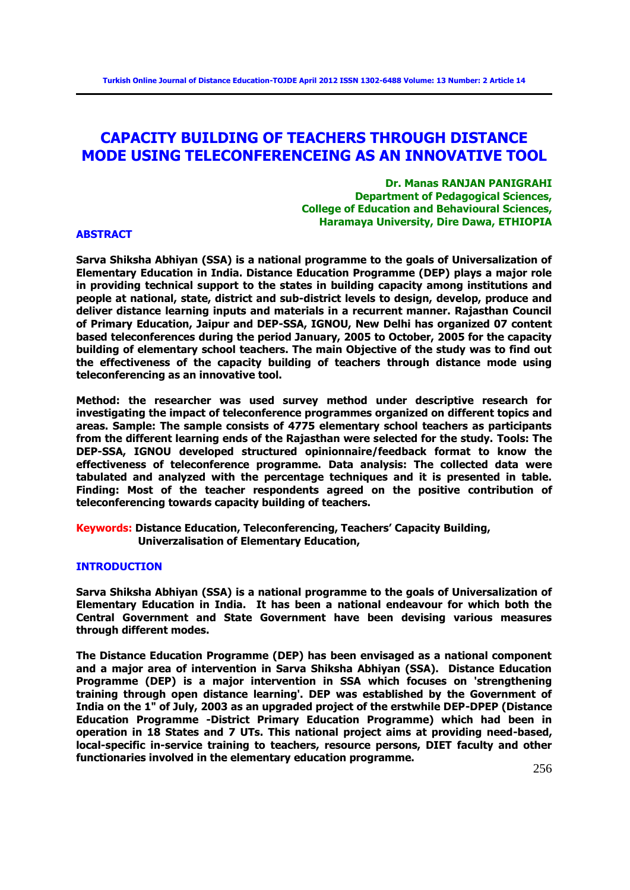# **CAPACITY BUILDING OF TEACHERS THROUGH DISTANCE MODE USING TELECONFERENCEING AS AN INNOVATIVE TOOL**

**Dr. Manas RANJAN PANIGRAHI Department of Pedagogical Sciences, College of Education and Behavioural Sciences, Haramaya University, Dire Dawa, ETHIOPIA** 

# **ABSTRACT**

**Sarva Shiksha Abhiyan (SSA) is a national programme to the goals of Universalization of Elementary Education in India. Distance Education Programme (DEP) plays a major role in providing technical support to the states in building capacity among institutions and people at national, state, district and sub-district levels to design, develop, produce and deliver distance learning inputs and materials in a recurrent manner. Rajasthan Council of Primary Education, Jaipur and DEP-SSA, IGNOU, New Delhi has organized 07 content based teleconferences during the period January, 2005 to October, 2005 for the capacity building of elementary school teachers. The main Objective of the study was to find out the effectiveness of the capacity building of teachers through distance mode using teleconferencing as an innovative tool.** 

**Method: the researcher was used survey method under descriptive research for investigating the impact of teleconference programmes organized on different topics and areas. Sample: The sample consists of 4775 elementary school teachers as participants from the different learning ends of the Rajasthan were selected for the study. Tools: The DEP-SSA, IGNOU developed structured opinionnaire/feedback format to know the effectiveness of teleconference programme. Data analysis: The collected data were tabulated and analyzed with the percentage techniques and it is presented in table. Finding: Most of the teacher respondents agreed on the positive contribution of teleconferencing towards capacity building of teachers.** 

**Keywords: Distance Education, Teleconferencing, Teachers' Capacity Building, Univerzalisation of Elementary Education,** 

# **INTRODUCTION**

**Sarva Shiksha Abhiyan (SSA) is a national programme to the goals of Universalization of Elementary Education in India. It has been a national endeavour for which both the Central Government and State Government have been devising various measures through different modes.** 

**The Distance Education Programme (DEP) has been envisaged as a national component and a major area of intervention in Sarva Shiksha Abhiyan (SSA). Distance Education Programme (DEP) is a major intervention in SSA which focuses on 'strengthening training through open distance learning'. DEP was established by the Government of India on the 1" of July, 2003 as an upgraded project of the erstwhile DEP-DPEP (Distance Education Programme -District Primary Education Programme) which had been in operation in 18 States and 7 UTs. This national project aims at providing need-based, local-specific in-service training to teachers, resource persons, DIET faculty and other functionaries involved in the elementary education programme.**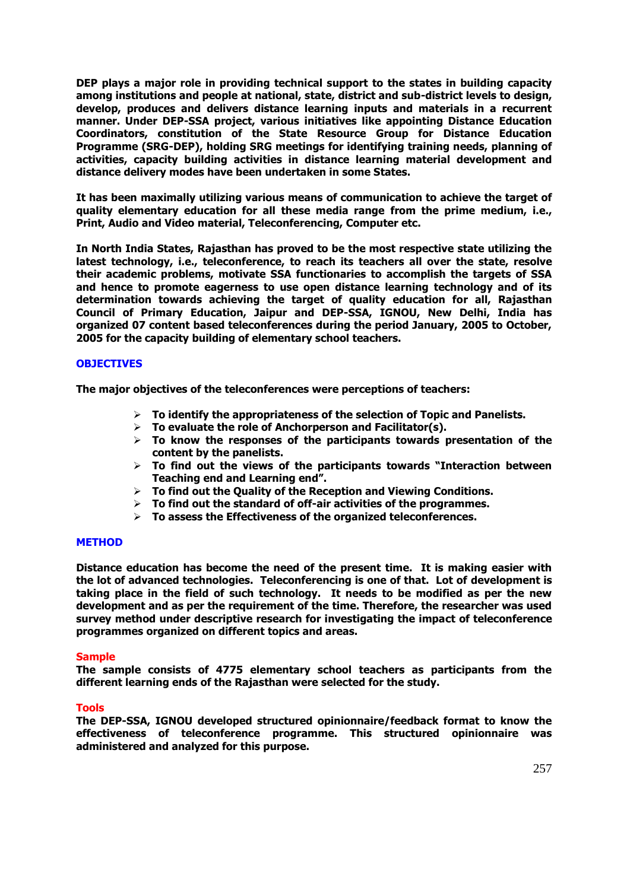**DEP plays a major role in providing technical support to the states in building capacity among institutions and people at national, state, district and sub-district levels to design, develop, produces and delivers distance learning inputs and materials in a recurrent manner. Under DEP-SSA project, various initiatives like appointing Distance Education Coordinators, constitution of the State Resource Group for Distance Education Programme (SRG-DEP), holding SRG meetings for identifying training needs, planning of activities, capacity building activities in distance learning material development and distance delivery modes have been undertaken in some States.** 

**It has been maximally utilizing various means of communication to achieve the target of quality elementary education for all these media range from the prime medium, i.e., Print, Audio and Video material, Teleconferencing, Computer etc.** 

**In North India States, Rajasthan has proved to be the most respective state utilizing the latest technology, i.e., teleconference, to reach its teachers all over the state, resolve their academic problems, motivate SSA functionaries to accomplish the targets of SSA and hence to promote eagerness to use open distance learning technology and of its determination towards achieving the target of quality education for all, Rajasthan Council of Primary Education, Jaipur and DEP-SSA, IGNOU, New Delhi, India has organized 07 content based teleconferences during the period January, 2005 to October, 2005 for the capacity building of elementary school teachers.** 

# **OBJECTIVES**

**The major objectives of the teleconferences were perceptions of teachers:** 

- **To identify the appropriateness of the selection of Topic and Panelists.**
- **To evaluate the role of Anchorperson and Facilitator(s).**
- **To know the responses of the participants towards presentation of the content by the panelists.**
- **To find out the views of the participants towards "Interaction between Teaching end and Learning end".**
- **To find out the Quality of the Reception and Viewing Conditions.**
- **To find out the standard of off-air activities of the programmes.**
- **To assess the Effectiveness of the organized teleconferences.**

#### **METHOD**

**Distance education has become the need of the present time. It is making easier with the lot of advanced technologies. Teleconferencing is one of that. Lot of development is taking place in the field of such technology. It needs to be modified as per the new development and as per the requirement of the time. Therefore, the researcher was used survey method under descriptive research for investigating the impact of teleconference programmes organized on different topics and areas.** 

## **Sample**

**The sample consists of 4775 elementary school teachers as participants from the different learning ends of the Rajasthan were selected for the study.** 

#### **Tools**

**The DEP-SSA, IGNOU developed structured opinionnaire/feedback format to know the effectiveness of teleconference programme. This structured opinionnaire was administered and analyzed for this purpose.**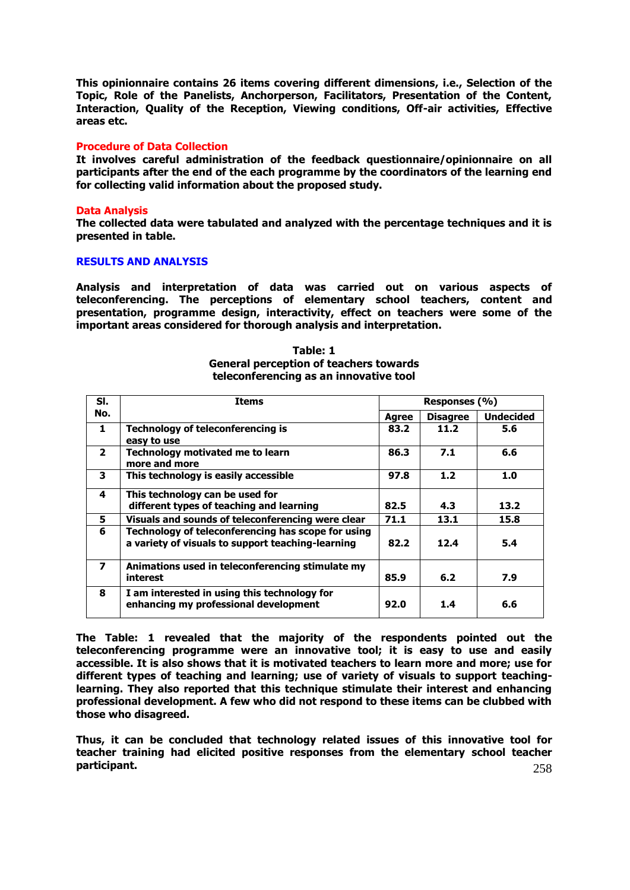**This opinionnaire contains 26 items covering different dimensions, i.e., Selection of the Topic, Role of the Panelists, Anchorperson, Facilitators, Presentation of the Content, Interaction, Quality of the Reception, Viewing conditions, Off-air activities, Effective areas etc.** 

#### **Procedure of Data Collection**

**It involves careful administration of the feedback questionnaire/opinionnaire on all participants after the end of the each programme by the coordinators of the learning end for collecting valid information about the proposed study.** 

### **Data Analysis**

**The collected data were tabulated and analyzed with the percentage techniques and it is presented in table.** 

## **RESULTS AND ANALYSIS**

**Analysis and interpretation of data was carried out on various aspects of teleconferencing. The perceptions of elementary school teachers, content and presentation, programme design, interactivity, effect on teachers were some of the important areas considered for thorough analysis and interpretation.** 

| SI.                     | <b>Items</b>                                                                                            | Responses (%) |                 |                  |
|-------------------------|---------------------------------------------------------------------------------------------------------|---------------|-----------------|------------------|
| No.                     |                                                                                                         | <b>Agree</b>  | <b>Disagree</b> | <b>Undecided</b> |
| $\mathbf{1}$            | <b>Technology of teleconferencing is</b><br>easy to use                                                 | 83.2          | 11.2            | 5.6              |
| $\overline{2}$          | Technology motivated me to learn<br>more and more                                                       | 86.3          | 7.1             | 6.6              |
| 3                       | This technology is easily accessible                                                                    | 97.8          | 1.2             | 1.0              |
| 4                       | This technology can be used for<br>different types of teaching and learning                             | 82.5          | 4.3             | 13.2             |
| 5                       | Visuals and sounds of teleconferencing were clear                                                       | 71.1          | 13.1            | 15.8             |
| 6                       | Technology of teleconferencing has scope for using<br>a variety of visuals to support teaching-learning | 82.2          | 12.4            | 5.4              |
| $\overline{\mathbf{z}}$ | Animations used in teleconferencing stimulate my<br>interest                                            | 85.9          | 6.2             | 7.9              |
| 8                       | I am interested in using this technology for<br>enhancing my professional development                   | 92.0          | 1.4             | 6.6              |

**Table: 1 General perception of teachers towards teleconferencing as an innovative tool** 

**The Table: 1 revealed that the majority of the respondents pointed out the teleconferencing programme were an innovative tool; it is easy to use and easily accessible. It is also shows that it is motivated teachers to learn more and more; use for different types of teaching and learning; use of variety of visuals to support teachinglearning. They also reported that this technique stimulate their interest and enhancing professional development. A few who did not respond to these items can be clubbed with those who disagreed.** 

258 **Thus, it can be concluded that technology related issues of this innovative tool for teacher training had elicited positive responses from the elementary school teacher participant.**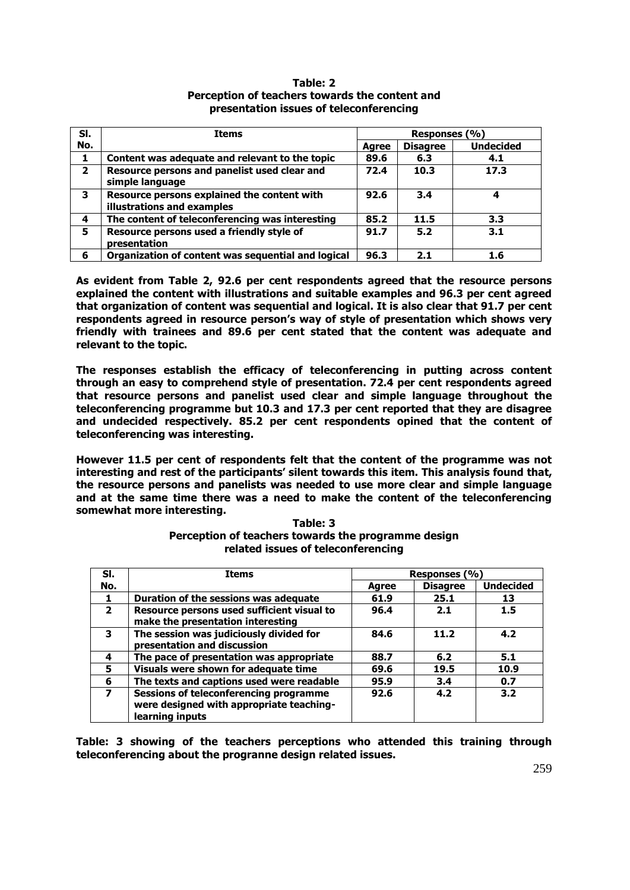| SI.            | <b>Items</b>                                                              | Responses (%) |                 |                  |  |
|----------------|---------------------------------------------------------------------------|---------------|-----------------|------------------|--|
| No.            |                                                                           | Agree         | <b>Disagree</b> | <b>Undecided</b> |  |
|                | Content was adequate and relevant to the topic                            | 89.6          | 6.3             | 4.1              |  |
| $\overline{2}$ | Resource persons and panelist used clear and<br>simple language           | 72.4          | 10.3            | 17.3             |  |
| 3              | Resource persons explained the content with<br>illustrations and examples | 92.6          | 3.4             |                  |  |
| 4              | The content of teleconferencing was interesting                           | 85.2          | 11.5            | 3.3              |  |
| 5              | Resource persons used a friendly style of<br>presentation                 | 91.7          | 5.2             | 3.1              |  |
| 6              | Organization of content was sequential and logical                        | 96.3          | 2.1             | 1.6              |  |

**Table: 2 Perception of teachers towards the content and presentation issues of teleconferencing** 

**As evident from Table 2, 92.6 per cent respondents agreed that the resource persons explained the content with illustrations and suitable examples and 96.3 per cent agreed that organization of content was sequential and logical. It is also clear that 91.7 per cent respondents agreed in resource person's way of style of presentation which shows very friendly with trainees and 89.6 per cent stated that the content was adequate and relevant to the topic.** 

**The responses establish the efficacy of teleconferencing in putting across content through an easy to comprehend style of presentation. 72.4 per cent respondents agreed that resource persons and panelist used clear and simple language throughout the teleconferencing programme but 10.3 and 17.3 per cent reported that they are disagree and undecided respectively. 85.2 per cent respondents opined that the content of teleconferencing was interesting.** 

**However 11.5 per cent of respondents felt that the content of the programme was not interesting and rest of the participants' silent towards this item. This analysis found that, the resource persons and panelists was needed to use more clear and simple language and at the same time there was a need to make the content of the teleconferencing somewhat more interesting.** 

| SI.            | <b>Items</b>                                                                                          | Responses (%) |                 |                  |
|----------------|-------------------------------------------------------------------------------------------------------|---------------|-----------------|------------------|
| No.            |                                                                                                       | <b>Agree</b>  | <b>Disagree</b> | <b>Undecided</b> |
|                | Duration of the sessions was adequate                                                                 | 61.9          | 25.1            | 13               |
| $\overline{2}$ | Resource persons used sufficient visual to<br>make the presentation interesting                       | 96.4          | 2.1             | 1.5              |
| 3              | The session was judiciously divided for<br>presentation and discussion                                | 84.6          | 11.2            | 4.2              |
| 4              | The pace of presentation was appropriate                                                              | 88.7          | 6.2             | 5.1              |
| 5              | Visuals were shown for adequate time                                                                  | 69.6          | 19.5            | 10.9             |
| 6              | The texts and captions used were readable                                                             | 95.9          | 3.4             | 0.7              |
| 7              | Sessions of teleconferencing programme<br>were designed with appropriate teaching-<br>learning inputs | 92.6          | 4.2             | 3.2              |

**Table: 3 Perception of teachers towards the programme design related issues of teleconferencing** 

**Table: 3 showing of the teachers perceptions who attended this training through teleconferencing about the progranne design related issues.**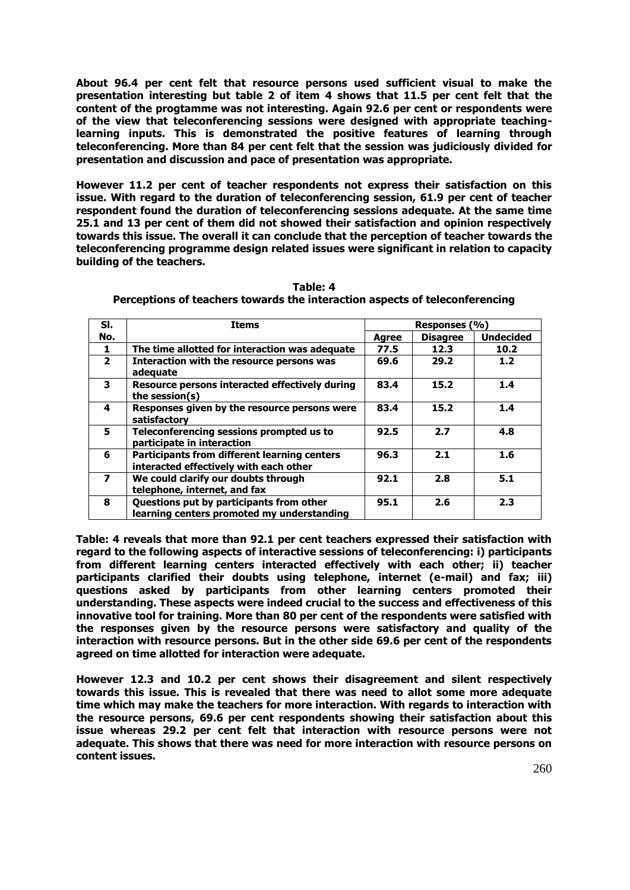**About 96.4 per cent felt that resource persons used sufficient visual to make the presentation interesting but table 2 of item 4 shows that 11.5 per cent felt that the content of the progtamme was not interesting. Again 92.6 per cent or respondents were of the view that teleconferencing sessions were designed with appropriate teachinglearning inputs. This is demonstrated the positive features of learning through teleconferencing. More than 84 per cent felt that the session was judiciously divided for presentation and discussion and pace of presentation was appropriate.** 

**However 11.2 per cent of teacher respondents not express their satisfaction on this issue. With regard to the duration of teleconferencing session, 61.9 per cent of teacher respondent found the duration of teleconferencing sessions adequate. At the same time 25.1 and 13 per cent of them did not showed their satisfaction and opinion respectively towards this issue. The overall it can conclude that the perception of teacher towards the teleconferencing programme design related issues were significant in relation to capacity building of the teachers.** 

| SI.                     | <b>Items</b>                                                                                  | Responses (%) |                 |                  |
|-------------------------|-----------------------------------------------------------------------------------------------|---------------|-----------------|------------------|
| No.                     |                                                                                               | Agree         | <b>Disagree</b> | <b>Undecided</b> |
|                         | The time allotted for interaction was adequate                                                | 77.5          | 12.3            | 10.2             |
| $\overline{2}$          | Interaction with the resource persons was<br>adequate                                         | 69.6          | 29.2            | 1.2              |
| 3                       | Resource persons interacted effectively during<br>the session(s)                              | 83.4          | 15.2            | 1.4              |
| 4                       | Responses given by the resource persons were<br>satisfactory                                  | 83.4          | 15.2            | 1.4              |
| 5                       | Teleconferencing sessions prompted us to<br>participate in interaction                        | 92.5          | 2.7             | 4.8              |
| 6                       | <b>Participants from different learning centers</b><br>interacted effectively with each other | 96.3          | 2.1             | 1.6              |
| $\overline{\mathbf{z}}$ | We could clarify our doubts through<br>telephone, internet, and fax                           | 92.1          | 2.8             | 5.1              |
| 8                       | Questions put by participants from other<br>learning centers promoted my understanding        | 95.1          | 2.6             | 2.3              |

**Table: 4 Perceptions of teachers towards the interaction aspects of teleconferencing** 

**Table: 4 reveals that more than 92.1 per cent teachers expressed their satisfaction with regard to the following aspects of interactive sessions of teleconferencing: i) participants from different learning centers interacted effectively with each other; ii) teacher participants clarified their doubts using telephone, internet (e-mail) and fax; iii) questions asked by participants from other learning centers promoted their understanding. These aspects were indeed crucial to the success and effectiveness of this innovative tool for training. More than 80 per cent of the respondents were satisfied with the responses given by the resource persons were satisfactory and quality of the interaction with resource persons. But in the other side 69.6 per cent of the respondents agreed on time allotted for interaction were adequate.** 

**However 12.3 and 10.2 per cent shows their disagreement and silent respectively towards this issue. This is revealed that there was need to allot some more adequate time which may make the teachers for more interaction. With regards to interaction with the resource persons, 69.6 per cent respondents showing their satisfaction about this issue whereas 29.2 per cent felt that interaction with resource persons were not adequate. This shows that there was need for more interaction with resource persons on content issues.**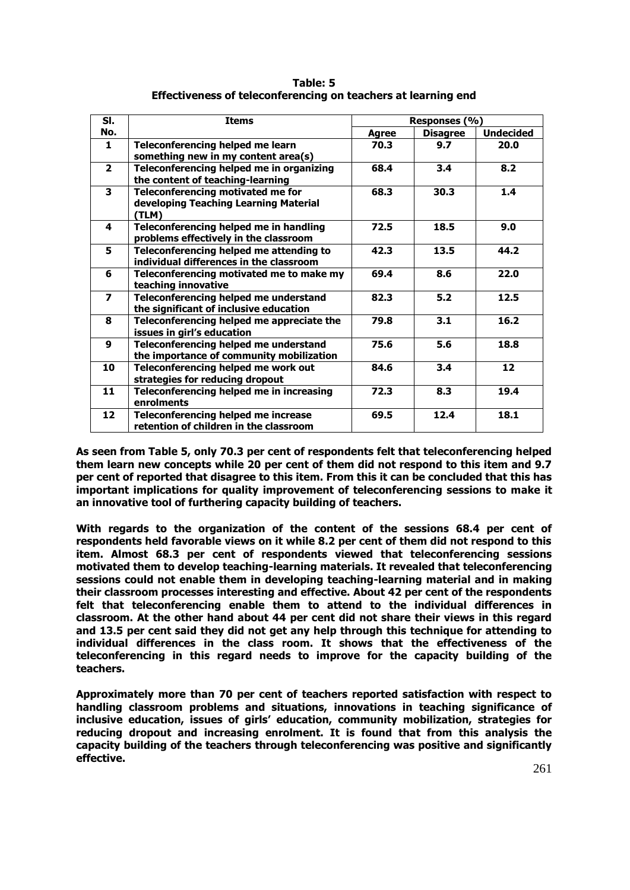| Table: 5                                                      |
|---------------------------------------------------------------|
| Effectiveness of teleconferencing on teachers at learning end |

| SI.                     | <b>Items</b>                                                                        | Responses (%) |                 |                   |
|-------------------------|-------------------------------------------------------------------------------------|---------------|-----------------|-------------------|
| No.                     |                                                                                     | Agree         | <b>Disagree</b> | <b>Undecided</b>  |
| 1                       | Teleconferencing helped me learn<br>something new in my content area(s)             | 70.3          | 9.7             | 20.0              |
| $\overline{2}$          | Teleconferencing helped me in organizing<br>the content of teaching-learning        | 68.4          | 3.4             | 8.2               |
| $\overline{\mathbf{3}}$ | Teleconferencing motivated me for<br>developing Teaching Learning Material<br>(TLM) | 68.3          | 30.3            | 1.4               |
| 4                       | Teleconferencing helped me in handling<br>problems effectively in the classroom     | 72.5          | 18.5            | 9.0               |
| 5                       | Teleconferencing helped me attending to<br>individual differences in the classroom  | 42.3          | 13.5            | 44.2              |
| 6                       | Teleconferencing motivated me to make my<br>teaching innovative                     | 69.4          | 8.6             | 22.0              |
| $\overline{\mathbf{z}}$ | Teleconferencing helped me understand<br>the significant of inclusive education     | 82.3          | 5.2             | 12.5              |
| 8                       | Teleconferencing helped me appreciate the<br>issues in girl's education             | 79.8          | 3.1             | 16.2              |
| $\boldsymbol{9}$        | Teleconferencing helped me understand<br>the importance of community mobilization   | 75.6          | 5.6             | 18.8              |
| 10                      | Teleconferencing helped me work out<br>strategies for reducing dropout              | 84.6          | 3.4             | $12 \overline{ }$ |
| 11                      | Teleconferencing helped me in increasing<br>enrolments                              | 72.3          | 8.3             | 19.4              |
| 12                      | Teleconferencing helped me increase<br>retention of children in the classroom       | 69.5          | 12.4            | 18.1              |

**As seen from Table 5, only 70.3 per cent of respondents felt that teleconferencing helped them learn new concepts while 20 per cent of them did not respond to this item and 9.7 per cent of reported that disagree to this item. From this it can be concluded that this has important implications for quality improvement of teleconferencing sessions to make it an innovative tool of furthering capacity building of teachers.** 

**With regards to the organization of the content of the sessions 68.4 per cent of respondents held favorable views on it while 8.2 per cent of them did not respond to this item. Almost 68.3 per cent of respondents viewed that teleconferencing sessions motivated them to develop teaching-learning materials. It revealed that teleconferencing sessions could not enable them in developing teaching-learning material and in making their classroom processes interesting and effective. About 42 per cent of the respondents felt that teleconferencing enable them to attend to the individual differences in classroom. At the other hand about 44 per cent did not share their views in this regard and 13.5 per cent said they did not get any help through this technique for attending to individual differences in the class room. It shows that the effectiveness of the teleconferencing in this regard needs to improve for the capacity building of the teachers.** 

**Approximately more than 70 per cent of teachers reported satisfaction with respect to handling classroom problems and situations, innovations in teaching significance of inclusive education, issues of girls' education, community mobilization, strategies for reducing dropout and increasing enrolment. It is found that from this analysis the capacity building of the teachers through teleconferencing was positive and significantly effective.**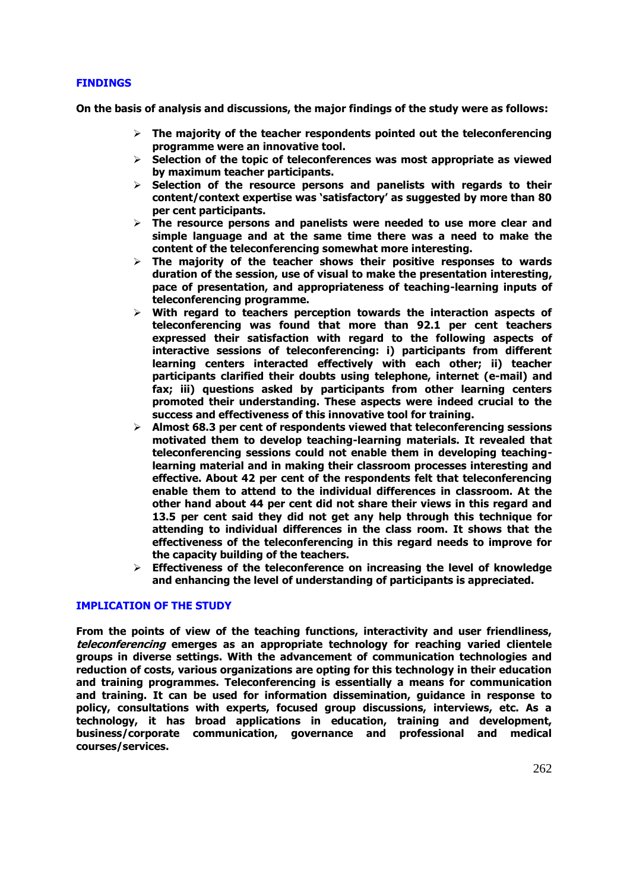# **FINDINGS**

**On the basis of analysis and discussions, the major findings of the study were as follows:** 

- **The majority of the teacher respondents pointed out the teleconferencing programme were an innovative tool.**
- **Selection of the topic of teleconferences was most appropriate as viewed by maximum teacher participants.**
- **Selection of the resource persons and panelists with regards to their content/context expertise was 'satisfactory' as suggested by more than 80 per cent participants.**
- **The resource persons and panelists were needed to use more clear and simple language and at the same time there was a need to make the content of the teleconferencing somewhat more interesting.**
- **The majority of the teacher shows their positive responses to wards duration of the session, use of visual to make the presentation interesting, pace of presentation, and appropriateness of teaching-learning inputs of teleconferencing programme.**
- **With regard to teachers perception towards the interaction aspects of teleconferencing was found that more than 92.1 per cent teachers expressed their satisfaction with regard to the following aspects of interactive sessions of teleconferencing: i) participants from different learning centers interacted effectively with each other; ii) teacher participants clarified their doubts using telephone, internet (e-mail) and fax; iii) questions asked by participants from other learning centers promoted their understanding. These aspects were indeed crucial to the success and effectiveness of this innovative tool for training.**
- **Almost 68.3 per cent of respondents viewed that teleconferencing sessions motivated them to develop teaching-learning materials. It revealed that teleconferencing sessions could not enable them in developing teachinglearning material and in making their classroom processes interesting and effective. About 42 per cent of the respondents felt that teleconferencing enable them to attend to the individual differences in classroom. At the other hand about 44 per cent did not share their views in this regard and 13.5 per cent said they did not get any help through this technique for attending to individual differences in the class room. It shows that the effectiveness of the teleconferencing in this regard needs to improve for the capacity building of the teachers.**
- **Effectiveness of the teleconference on increasing the level of knowledge and enhancing the level of understanding of participants is appreciated.**

#### **IMPLICATION OF THE STUDY**

**From the points of view of the teaching functions, interactivity and user friendliness, teleconferencing emerges as an appropriate technology for reaching varied clientele groups in diverse settings. With the advancement of communication technologies and reduction of costs, various organizations are opting for this technology in their education and training programmes. Teleconferencing is essentially a means for communication and training. It can be used for information dissemination, guidance in response to policy, consultations with experts, focused group discussions, interviews, etc. As a technology, it has broad applications in education, training and development, business/corporate communication, governance and professional and medical courses/services.**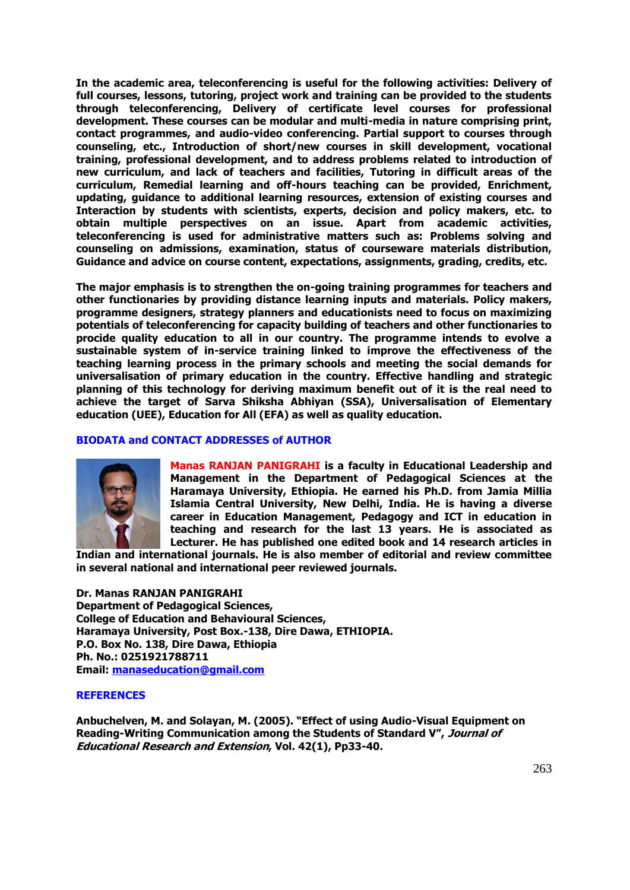**In the academic area, teleconferencing is useful for the following activities: Delivery of full courses, lessons, tutoring, project work and training can be provided to the students through teleconferencing, Delivery of certificate level courses for professional development. These courses can be modular and multi-media in nature comprising print, contact programmes, and audio-video conferencing. Partial support to courses through counseling, etc., Introduction of short/new courses in skill development, vocational training, professional development, and to address problems related to introduction of new curriculum, and lack of teachers and facilities, Tutoring in difficult areas of the curriculum, Remedial learning and off-hours teaching can be provided, Enrichment, updating, guidance to additional learning resources, extension of existing courses and Interaction by students with scientists, experts, decision and policy makers, etc. to obtain multiple perspectives on an issue. Apart from academic activities, teleconferencing is used for administrative matters such as: Problems solving and counseling on admissions, examination, status of courseware materials distribution, Guidance and advice on course content, expectations, assignments, grading, credits, etc.** 

**The major emphasis is to strengthen the on-going training programmes for teachers and other functionaries by providing distance learning inputs and materials. Policy makers, programme designers, strategy planners and educationists need to focus on maximizing potentials of teleconferencing for capacity building of teachers and other functionaries to procide quality education to all in our country. The programme intends to evolve a sustainable system of in-service training linked to improve the effectiveness of the teaching learning process in the primary schools and meeting the social demands for universalisation of primary education in the country. Effective handling and strategic planning of this technology for deriving maximum benefit out of it is the real need to achieve the target of Sarva Shiksha Abhiyan (SSA), Universalisation of Elementary education (UEE), Education for All (EFA) as well as quality education.** 

## **BIODATA and CONTACT ADDRESSES of AUTHOR**



**Manas RANJAN PANIGRAHI is a faculty in Educational Leadership and Management in the Department of Pedagogical Sciences at the Haramaya University, Ethiopia. He earned his Ph.D. from Jamia Millia Islamia Central University, New Delhi, India. He is having a diverse career in Education Management, Pedagogy and ICT in education in teaching and research for the last 13 years. He is associated as Lecturer. He has published one edited book and 14 research articles in** 

**Indian and international journals. He is also member of editorial and review committee in several national and international peer reviewed journals.** 

**Dr. Manas RANJAN PANIGRAHI Department of Pedagogical Sciences, College of Education and Behavioural Sciences, Haramaya University, Post Box.-138, Dire Dawa, ETHIOPIA. P.O. Box No. 138, Dire Dawa, Ethiopia Ph. No.: 0251921788711 Email:** *192H***[manaseducation@gmail.com](mailto:manaseducation@gmail.com)**

## **REFERENCES**

**Anbuchelven, M. and Solayan, M. (2005). "Effect of using Audio-Visual Equipment on Reading-Writing Communication among the Students of Standard V", Journal of Educational Research and Extension, Vol. 42(1), Pp33-40.**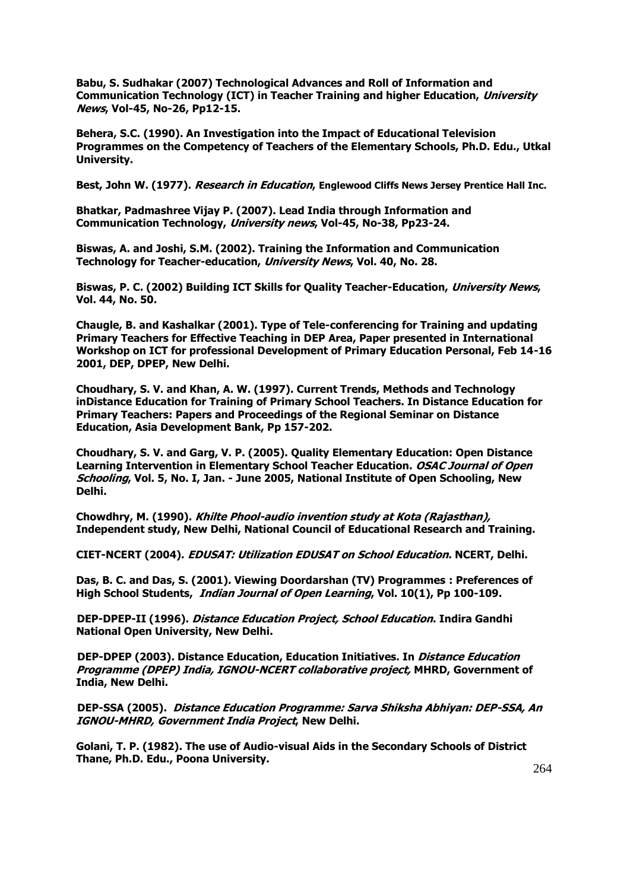**Babu, S. Sudhakar (2007) Technological Advances and Roll of Information and Communication Technology (ICT) in Teacher Training and higher Education, University News, Vol-45, No-26, Pp12-15.**

**Behera, S.C. (1990). An Investigation into the Impact of Educational Television Programmes on the Competency of Teachers of the Elementary Schools, Ph.D. Edu., Utkal University.** 

**Best, John W. (1977). Research in Education, Englewood Cliffs News Jersey Prentice Hall Inc.** 

**Bhatkar, Padmashree Vijay P. (2007). Lead India through Information and Communication Technology, University news, Vol-45, No-38, Pp23-24.**

**Biswas, A. and Joshi, S.M. (2002). Training the Information and Communication Technology for Teacher-education, University News, Vol. 40, No. 28.** 

**Biswas, P. C. (2002) Building ICT Skills for Quality Teacher-Education, University News, Vol. 44, No. 50.** 

**Chaugle, B. and Kashalkar (2001). Type of Tele-conferencing for Training and updating Primary Teachers for Effective Teaching in DEP Area, Paper presented in International Workshop on ICT for professional Development of Primary Education Personal, Feb 14-16 2001, DEP, DPEP, New Delhi.** 

**Choudhary, S. V. and Khan, A. W. (1997). Current Trends, Methods and Technology inDistance Education for Training of Primary School Teachers. In Distance Education for Primary Teachers: Papers and Proceedings of the Regional Seminar on Distance Education, Asia Development Bank, Pp 157-202.**

**Choudhary, S. V. and Garg, V. P. (2005). Quality Elementary Education: Open Distance**  Learning Intervention in Elementary School Teacher Education. *OSAC Journal of Open* **Schooling, Vol. 5, No. I, Jan. - June 2005, National Institute of Open Schooling, New Delhi.** 

**Chowdhry, M. (1990). Khilte Phool-audio invention study at Kota (Rajasthan), Independent study, New Delhi, National Council of Educational Research and Training.** 

**CIET-NCERT (2004). EDUSAT: Utilization EDUSAT on School Education. NCERT, Delhi.**

**Das, B. C. and Das, S. (2001). Viewing Doordarshan (TV) Programmes : Preferences of High School Students, Indian Journal of Open Learning, Vol. 10(1), Pp 100-109.**

**DEP-DPEP-II (1996). Distance Education Project, School Education. Indira Gandhi National Open University, New Delhi.**

**DEP-DPEP (2003). Distance Education, Education Initiatives. In Distance Education Programme (DPEP) India, IGNOU-NCERT collaborative project, MHRD, Government of India, New Delhi.**

**DEP-SSA (2005). Distance Education Programme: Sarva Shiksha Abhiyan: DEP-SSA, An IGNOU-MHRD, Government India Project, New Delhi.**

**Golani, T. P. (1982). The use of Audio-visual Aids in the Secondary Schools of District Thane, Ph.D. Edu., Poona University.**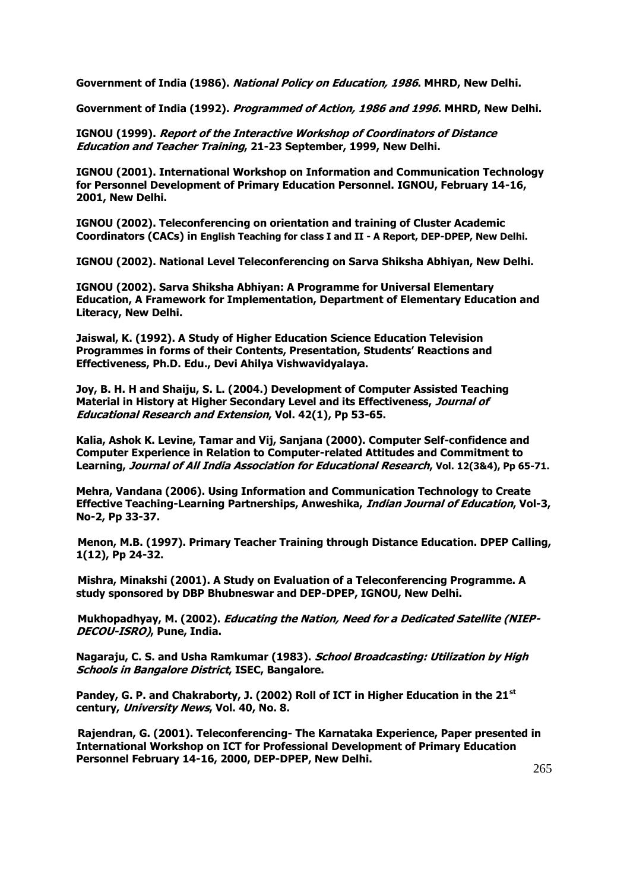**Government of India (1986). National Policy on Education, 1986. MHRD, New Delhi.** 

**Government of India (1992). Programmed of Action, 1986 and 1996. MHRD, New Delhi.**

**IGNOU (1999). Report of the Interactive Workshop of Coordinators of Distance Education and Teacher Training, 21-23 September, 1999, New Delhi.**

**IGNOU (2001). International Workshop on Information and Communication Technology for Personnel Development of Primary Education Personnel. IGNOU, February 14-16, 2001, New Delhi.**

**IGNOU (2002). Teleconferencing on orientation and training of Cluster Academic Coordinators (CACs) in English Teaching for class I and II - A Report, DEP-DPEP, New Delhi.**

**IGNOU (2002). National Level Teleconferencing on Sarva Shiksha Abhiyan, New Delhi.** 

**IGNOU (2002). Sarva Shiksha Abhiyan: A Programme for Universal Elementary Education, A Framework for Implementation, Department of Elementary Education and Literacy, New Delhi.**

**Jaiswal, K. (1992). A Study of Higher Education Science Education Television Programmes in forms of their Contents, Presentation, Students' Reactions and Effectiveness, Ph.D. Edu., Devi Ahilya Vishwavidyalaya.** 

**Joy, B. H. H and Shaiju, S. L. (2004.) Development of Computer Assisted Teaching Material in History at Higher Secondary Level and its Effectiveness, Journal of Educational Research and Extension, Vol. 42(1), Pp 53-65.**

**Kalia, Ashok K. Levine, Tamar and Vij, Sanjana (2000). Computer Self-confidence and Computer Experience in Relation to Computer-related Attitudes and Commitment to Learning, Journal of All India Association for Educational Research, Vol. 12(3&4), Pp 65-71.**

**Mehra, Vandana (2006). Using Information and Communication Technology to Create Effective Teaching-Learning Partnerships, Anweshika, Indian Journal of Education, Vol-3, No-2, Pp 33-37.**

**Menon, M.B. (1997). Primary Teacher Training through Distance Education. DPEP Calling, 1(12), Pp 24-32.**

**Mishra, Minakshi (2001). A Study on Evaluation of a Teleconferencing Programme. A study sponsored by DBP Bhubneswar and DEP-DPEP, IGNOU, New Delhi.**

**Mukhopadhyay, M. (2002). Educating the Nation, Need for a Dedicated Satellite (NIEP-DECOU-ISRO), Pune, India.**

**Nagaraju, C. S. and Usha Ramkumar (1983). School Broadcasting: Utilization by High Schools in Bangalore District, ISEC, Bangalore.** 

**Pandey, G. P. and Chakraborty, J. (2002) Roll of ICT in Higher Education in the 21st century, University News, Vol. 40, No. 8.** 

**Rajendran, G. (2001). Teleconferencing- The Karnataka Experience, Paper presented in International Workshop on ICT for Professional Development of Primary Education Personnel February 14-16, 2000, DEP-DPEP, New Delhi.**